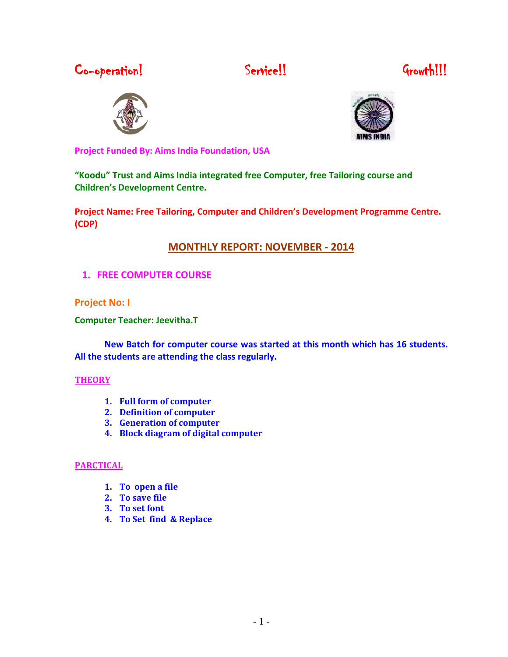Co-operation! Service!! Service!! Growth!!!







**Project Funded By: Aims India Foundation, USA**

**"Koodu" Trust and Aims India integrated free Computer, free Tailoring course and Children's Development Centre.**

**Project Name: Free Tailoring, Computer and Children's Development Programme Centre. (CDP)**

# **MONTHLY REPORT: NOVEMBER - 2014**

**1. FREE COMPUTER COURSE** 

### **Project No: I**

**Computer Teacher: Jeevitha.T** 

**New Batch for computer course was started at this month which has 16 students. All the students are attending the class regularly.**

### **THEORY**

- **1. Full form of computer**
- **2. Definition of computer**
- **3. Generation of computer**
- **4. Block diagram of digital computer**

### **PARCTICAL**

- **1. To open a file**
- **2. To save file**
- **3. To set font**
- **4. To Set find & Replace**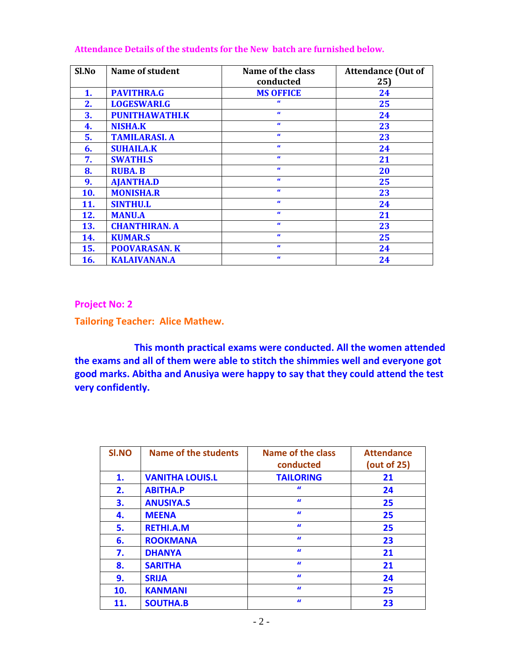| Sl.No | <b>Name of student</b> | Name of the class | <b>Attendance (Out of</b> |  |  |
|-------|------------------------|-------------------|---------------------------|--|--|
|       |                        | conducted         | 25)                       |  |  |
| 1.    | <b>PAVITHRA.G</b>      | <b>MS OFFICE</b>  | 24                        |  |  |
| 2.    | <b>LOGESWARI.G</b>     | $\epsilon$        | 25                        |  |  |
| 3.    | <b>PUNITHAWATHI.K</b>  | $\alpha$          | 24                        |  |  |
| 4.    | <b>NISHA.K</b>         | $\alpha$          | 23                        |  |  |
| 5.    | <b>TAMILARASI. A</b>   | $\alpha$          | 23                        |  |  |
| 6.    | <b>SUHAILA.K</b>       | $\alpha$          | 24                        |  |  |
| 7.    | <b>SWATHI.S</b>        | $\alpha$          | 21                        |  |  |
| 8.    | <b>RUBA. B</b>         | $\alpha$          | 20                        |  |  |
| 9.    | <b>AJANTHA.D</b>       | $\alpha$          | 25                        |  |  |
| 10.   | <b>MONISHA.R</b>       | $\epsilon$        | 23                        |  |  |
| 11.   | <b>SINTHU.L</b>        | $\alpha$          | 24                        |  |  |
| 12.   | <b>MANU.A</b>          | $\alpha$          | 21                        |  |  |
| 13.   | <b>CHANTHIRAN. A</b>   | $\alpha$          | 23                        |  |  |
| 14.   | <b>KUMAR.S</b>         | $\alpha$          | 25                        |  |  |
| 15.   | <b>POOVARASAN. K</b>   | $\alpha$          | 24                        |  |  |
| 16.   | <b>KALAIVANAN.A</b>    | $\alpha$          | 24                        |  |  |

#### **Attendance Details of the students for the New batch are furnished below.**

**Project No: 2** 

**Tailoring Teacher: Alice Mathew.**

**This month practical exams were conducted. All the women attended the exams and all of them were able to stitch the shimmies well and everyone got good marks. Abitha and Anusiya were happy to say that they could attend the test very confidently.** 

| SI.NO | Name of the students   | <b>Name of the class</b><br>conducted | <b>Attendance</b><br>(out of 25) |
|-------|------------------------|---------------------------------------|----------------------------------|
| 1.    | <b>VANITHA LOUIS.L</b> | <b>TAILORING</b>                      | 21                               |
| 2.    | <b>ABITHA.P</b>        | $\bf{u}$                              | 24                               |
| 3.    | <b>ANUSIYA.S</b>       | $\bf{u}$                              | 25                               |
| 4.    | <b>MEENA</b>           | $\bf{u}$                              | 25                               |
| 5.    | <b>RETHI.A.M</b>       | $\mathbf{u}$                          | 25                               |
| 6.    | <b>ROOKMANA</b>        | $\mathbf{u}$                          | 23                               |
| 7.    | <b>DHANYA</b>          | $\bf{u}$                              | 21                               |
| 8.    | <b>SARITHA</b>         | $\bf{u}$                              | 21                               |
| 9.    | <b>SRIJA</b>           | $\bf{u}$                              | 24                               |
| 10.   | <b>KANMANI</b>         | $\bf{u}$                              | 25                               |
| 11.   | <b>SOUTHA.B</b>        | $\alpha$                              | 23                               |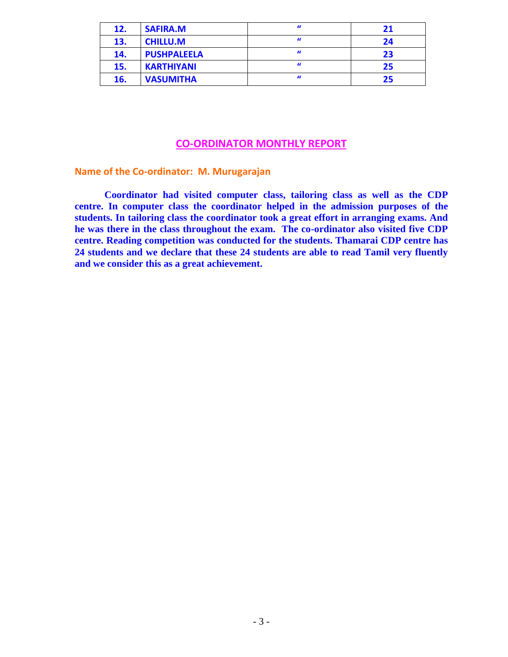| 12. | <b>SAFIRA.M</b>    | $\bf{u}$ | 21 |
|-----|--------------------|----------|----|
| 13. | <b>CHILLU.M</b>    | $\bf{u}$ | 24 |
| 14. | <b>PUSHPALEELA</b> | $\bf{u}$ | 23 |
| 15. | <b>KARTHIYANI</b>  | $\bf{u}$ | 25 |
| 16. | <b>VASUMITHA</b>   | $\bf{u}$ | 25 |

### **CO-ORDINATOR MONTHLY REPORT**

**Name of the Co-ordinator: M. Murugarajan**

**Coordinator had visited computer class, tailoring class as well as the CDP centre. In computer class the coordinator helped in the admission purposes of the students. In tailoring class the coordinator took a great effort in arranging exams. And he was there in the class throughout the exam. The co-ordinator also visited five CDP centre. Reading competition was conducted for the students. Thamarai CDP centre has 24 students and we declare that these 24 students are able to read Tamil very fluently and we consider this as a great achievement.**